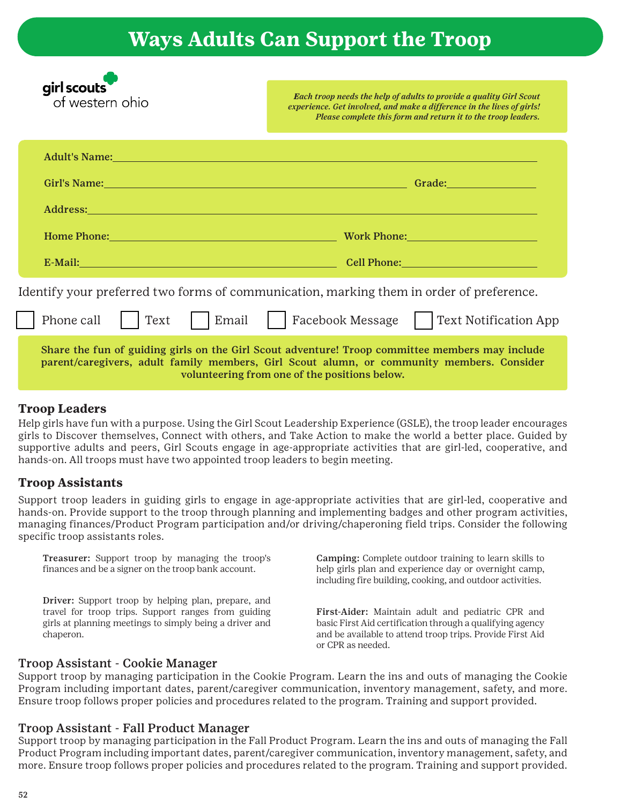## **Ways Adults Can Support the Troop**

| girl scouts<br>of western ohio                                                                                                                                                                                                                | <b>Each troop needs the help of adults to provide a quality Girl Scout</b><br>experience. Get involved, and make a difference in the lives of girls!<br>Please complete this form and return it to the troop leaders.         |
|-----------------------------------------------------------------------------------------------------------------------------------------------------------------------------------------------------------------------------------------------|-------------------------------------------------------------------------------------------------------------------------------------------------------------------------------------------------------------------------------|
| Adult's Name: Names and Adult's Names and Adult's Names and Adult's Names and Adult's Names and Adult 2014                                                                                                                                    |                                                                                                                                                                                                                               |
|                                                                                                                                                                                                                                               |                                                                                                                                                                                                                               |
|                                                                                                                                                                                                                                               |                                                                                                                                                                                                                               |
| Home Phone: New York Contract the Contract of the Contract of the Contract of the Contract of the Contract of the Contract of the Contract of the Contract of the Contract of the Contract of the Contract of the Contract of                 | Work Phone: New York Discovery 2014                                                                                                                                                                                           |
| E-Mail: 2008. [2016] [2016] [2016] [2016] [2016] [2016] [2016] [2016] [2016] [2016] [2016] [2016] [2016] [2016] [2016] [2016] [2016] [2016] [2016] [2016] [2016] [2016] [2016] [2016] [2016] [2016] [2016] [2016] [2016] [2016                | Cell Phone: Electric Contract of the Contract of the Contract of the Contract of the Contract of the Contract of the Contract of the Contract of the Contract of the Contract of the Contract of the Contract of the Contract |
| Identify your preferred two forms of communication, marking them in order of preference.                                                                                                                                                      |                                                                                                                                                                                                                               |
| Phone call<br>Email<br>Text                                                                                                                                                                                                                   | Facebook Message<br><b>Text Notification App</b>                                                                                                                                                                              |
| Share the fun of guiding girls on the Girl Scout adventure! Troop committee members may include<br>parent/caregivers, adult family members, Girl Scout alumn, or community members. Consider<br>volunteering from one of the positions below. |                                                                                                                                                                                                                               |

#### **Troop Leaders**

Help girls have fun with a purpose. Using the Girl Scout Leadership Experience (GSLE), the troop leader encourages girls to Discover themselves, Connect with others, and Take Action to make the world a better place. Guided by supportive adults and peers, Girl Scouts engage in age-appropriate activities that are girl-led, cooperative, and hands-on. All troops must have two appointed troop leaders to begin meeting.

#### **Troop Assistants**

Support troop leaders in guiding girls to engage in age-appropriate activities that are girl-led, cooperative and hands-on. Provide support to the troop through planning and implementing badges and other program activities, managing finances/Product Program participation and/or driving/chaperoning field trips. Consider the following specific troop assistants roles.

Treasurer: Support troop by managing the troop's finances and be a signer on the troop bank account.

Driver: Support troop by helping plan, prepare, and travel for troop trips. Support ranges from guiding girls at planning meetings to simply being a driver and chaperon.

Camping: Complete outdoor training to learn skills to help girls plan and experience day or overnight camp, including fire building, cooking, and outdoor activities.

First-Aider: Maintain adult and pediatric CPR and basic First Aid certification through a qualifying agency and be available to attend troop trips. Provide First Aid or CPR as needed.

#### Troop Assistant - Cookie Manager

Support troop by managing participation in the Cookie Program. Learn the ins and outs of managing the Cookie Program including important dates, parent/caregiver communication, inventory management, safety, and more. Ensure troop follows proper policies and procedures related to the program. Training and support provided.

#### Troop Assistant - Fall Product Manager

Support troop by managing participation in the Fall Product Program. Learn the ins and outs of managing the Fall Product Program including important dates, parent/caregiver communication, inventory management, safety, and more. Ensure troop follows proper policies and procedures related to the program. Training and support provided.